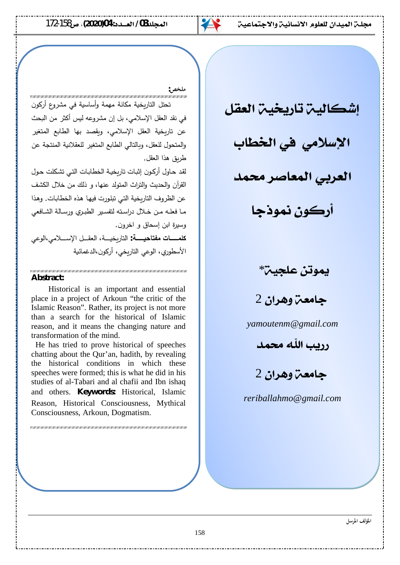

#### **ملخص:**

تحتل التاربخية مكانة مهمة وأساسية في مشروع أركون في نقد العقل الإسلامي، بل إن مشروعه ليس أكثر من البحث عن تاريخية العقل الإسلامي، وبقصد بها الطابع المتغير والمتحول للعقل، وبالتالي الطابع المتغير للعقلانية المنتجة عن طريق هذا العقل.

لقد حاول أركون إثبات تاربخية الخطابات التي تشكلت حول القرآن والحديث والتراث المتولد عنها، و ذلك من خلال الكشف عن الظروف التاريخية التي تبلورت فيها هذه الخطابات. وهذا ما فعلـه مـن خـلال دراسـته لتفسـير الطبـري ورسـالـة الشـافعي وسيرة ابن إسحاق و اخرون. كلمــــات مفتاحيــــة: التاربخيـــة، العقــل الإســـلامي،الوعي الأسطوري، الوعي التاريخي، أركون،الدغمائية

#### **Abstract:**

Historical is an important and essential place in a project of Arkoun "the critic of the Islamic Reason". Rather, its project is not more than a search for the historical of Islamic reason, and it means the changing nature and transformation of the mind.

 He has tried to prove historical of speeches chatting about the Qur'an, hadith, by revealing the historical conditions in which these speeches were formed; this is what he did in his studies of al-Tabari and al chafii and Ibn ishaq and others. **Keywords:** Historical, Islamic Reason, Historical Consciousness, Mythical Consciousness, Arkoun, Dogmatism.

**إشكاليت تاريخيت العقل** 

الإسلامي في الخطاب

العريي المعاصر محمد

<mark>أركون نموذجا</mark>

يموتن علجيت<sup>\*</sup>

**حامعت وهران 2** 

*yamoutenm@gmail.com*

**محصد اللّه محمد** 

**جامعت وهران 2** 

*reriballahmo@gmail.com*

**المؤلف الموسل**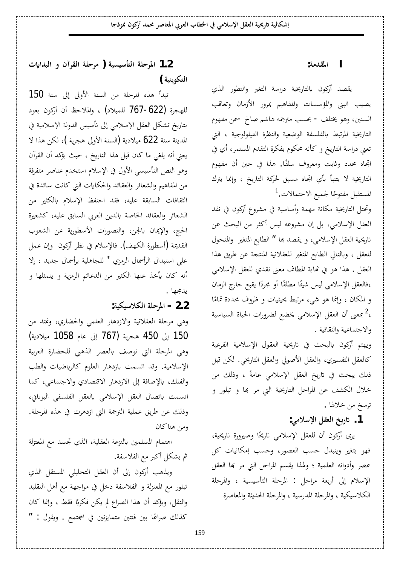**:ƨǷƾǬŭ¦ I**

يقصد أركون بالتاريخية دراسة التغير والتطور الذي يصيب البني والمؤسسات والمفاهيم بمرور الأزمان وتعاقب السنين، وهو يختلف - بحسب مترجمه هاشم صالح -عن مفهوم التاريخية المرتبط بالفلسفة الوضعية والنظرة الفيلولوجية ، التي تعني دراسة التاريخ و كأنه محكوم بفكرة التقدم المستمر، أي في اتِحاه محدد وثابت ومعروف سلفًا. هذا في حين أن مفهوم Å التاريخية لا يتنبأ بأي اتجاه مسبق لحركة التاريخ ، وإنما يترك المستقبل مفتوحًا لجميع الاحتمالات.<sup>[1](#page-12-0)</sup> Å

وتحتل التاريخية مكانة مهمة وأساسية في مشروع أركون في نقد العقل الإسلامي، بل إن مشروعه ليس أكثر من البحث عن تاريخية العقل الإسلامي، و يقصد بما " الطابع المتغير والمتحول للعقل ، وبالتالي الطابع المتغير للعقلانية المنتجة عن طريق هذا العقل . هذا هو في نماية المطاف معنى نقدي للعقل الإسلامي ،فالعقل الإسلامي ليس شيئًا مطلقًا أو مجردًا يقبع خارج الزمان Å ر<br>أ و المكان ، وإنما هو شيء مرتبط بحيثيات و ظروف محددة تمامًا Å ،<sup>[2](#page-12-1)</sup> بمعنى أن العقل الإسلامي يخضع لضرورات الحياة السياسية والاجتماعية والثقافية .

ويهتم أركون بالبحث في تاريخية العقول الإسلامية الفرعية كالعقل التفسيري، والعقل الأصولي والعقل التاريخي. لكن قبل ذلك يبحث في تاريخ العقل الإسلامي عامةً ، وذلك من خلال الكشف عن المراحل التاريخية التي مر بما و تبلور و ترسخ من خلالها .

1. تاريخ العقل الإسلامي:

يرى أركون أن للعقل الإسلامي تاريخًا وصيرورة تاريخية،<br>. فهو يتغير ويتبدل حسب العصور، وحسب إمكانيات كل عصر وأدواته العلمية ؛ ولهذا يقسم المراحل التي مر بما العقل الإسلام إلى أربعة مراحل : المرحلة التأسيسية ، والمرحلة الكلاسيكية ، والمرحلة المدرسية ، والمرحلة الحديثة والمعاصرة

 **©ʮ¦ƾƦdz¦ÂÀ¡ǂǬdz¦ƨǴƷǂǷ ) ƨȈLjȈLJƘƬdz¦ƨǴƷǂŭ¦ 1.2** التكوينية )

تبدأ هذه المرحلة من السنة الأولى إلى سنة 150 للهجرة (622-767 للميلاد) ، والملاحظ أن أركون يعود بتاريخ تشكل العقل الإسلامي إلى تأسيس الدولة الإسلامية في المدينة سنة 622 ميلادية (السنة الأولى هجرية )، لكن هذا لا يعني أنه يلغي ما كان قبل هذا التاريخ ، حيث يؤكد أن القرآن وهو النص التأسيسي الأول في الإسلام استخدم عناصر متفرقة من المفاهيم والشعائر والعقائد والحكايات التي كانت سائدة في الثقافات السابقة عليه، فقد احتفظ الإسلام بالكثير من الشعائر والعقائد الخاصة بالدين العربي السابق عليه، كشعيرة الحج، والإيمان بالجن، والتصورات الأسطورية عن الشعوب القديمة (أسطورة الكهف). فالإسلام في نظر أركون وإن عمل على استبدال الرأسمال الرمزي \* للجاهلية برأسمال جديد ، إلاأنه كان يأخذ عنها الكثير من الدعائم الرمزية و يتمثلها و يدمجها .

## **:ƨȈǰȈLJȐǰdz¦ƨǴƷǂŭ¦ - 2.2**

وهي مرحلة العقلانية والازدهار العلمي والحضاري، وقتد من (ƨȇ®ȐȈǷ 1058 ¿Ƣǟ ń¤ 767) ƨȇǂƴǿ 450 ń¤ 150 وهي المرحلة التي توصف بالعصر الذهبي للحضارة العربية الإسلامية. وقد اتسمت بازدهار العلوم كالرياضيات والطب والفلك، بالإضافة إلى الازدهار الاقتصادي والاجتماعي، كما اتسمت باتصال العقل الإسلامي بالعقل الفلسفي اليوناني، وذلك عن طريق عملية الترجمة التي ازدهرت في هذه المرحلة. ومن هناكان

اهتمام المسلمين بالنزعة العقلية، الذي تجسد مع المعتزلة ثم بشكل أكبر مع الفلاسفة.

ويذهب أركون إلى أن العقل التحليلي المستقل الذي تبلور مع المعتزلة و الفلاسفة دخل في مواجهة مع أهل التقليد والنقل، ويؤكد أن هذا الصراع لم يكن فكريًا فقط ، وإنما كان يا<br>-كذلك صراعًا بين فئتين متمايزتين في المجتمع . ويقول : "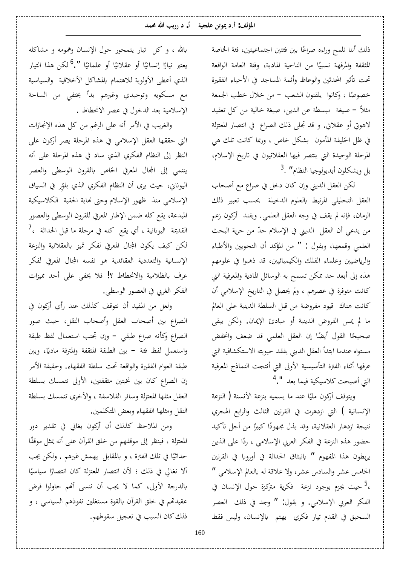ذلك أننا نلمح وراءه صراعًا بين فئتين اجتماعيتين، فئة الخاصة Å المثقفة والمرفهة نسبيًا من الناحية المادية، وفئة العامة الواقعة Å تحت تأثير المحدثين والوعاظ وأئمة المساجد في الأحياء الفقيرة خصوصًا ، وكانوا يلقنون الشعب – من خلال خطب الجمعة Å مثلاً — صيغة مبسطة عن الدين، صيغة خالية من كل تعقيد لاهوتي أو عقلاني. و قد تجلي ذلك الصراع في انتصار المعتزلة في ظل الخليفة المأمون بشكل خاص ، وربما كانت تلك هي المرحلة الوحيدة التي ينتصر فيها العقلانيون في تاريخ الإسلام، بل ويشكلون أيديولوجيا النظام" .<sup>[3](#page-12-3)</sup>

لكن العقل الديني وإن كان دخل في صراع مع أصحاب العقل التحليلي المرتبط بالعلوم الدخيلة بحسب تعبير ذلك الزمان، فإنه لم يقف في وجه العقل العلمي. ويفند أركون زعم من يدعي أن العقل الديني في الإسلام حدّ من حرية البحث العلمي وقمعها، ويقول : " من المؤكد أن النحويين والأطباء والرياضيين وعلماء الفلك والكيميائيين، قد ذهبوا في علومهم هذه إلى أبعد حد ممكن تسمح به الوسائل المادية والمعرفية التي كانت متوفرة في عصرهم ، ولم يحصل في التاريخ الإسلامي أن كانت هناك قيود مفروضة من قبل السلطة الدينية على العالم ما لم يمس الفروض الدينية أو مبادئ الإيمان. ولكن يبقى صحيحًا القول أيضًا إن العقل العلمي قد ضعف وانخفض مستواه عندما ابتدأ العقل الديني يفقد حيويته الاستكشافية التي عرفها أثناء الفترة التأسيسية الأولى التى أنتجت النماذج المعرفية التي أصبحت كلاسيكية فيما بعد ".<sup>[4](#page-13-0)</sup>

ويتوقف أركون مليًا عند ما يسميه بنزعة الأنسنة ( النزعة Å الإنسانية ) التي ازدهرت في القرنين الثالث والرابع الهجري نتيجة ازدهار العقلانية، وقد بذل مجهودًا كبيرًا من أجل تأكيد Å Å حضور هذه النزعة في الفكر العربي الإسلامي ، ردًا على الذين Å يربطون هذا المفهوم " بانبثاق الحداثة في أوروبا في القرنين الخامس عشر والسادس عشر، ولا علاقة له بالعالم الإسلامي " ،<sup>[5](#page-13-1)</sup> حيث يجزم بوجود نزعة فكرية متركزة حول الإنسان في الفكر العربي الإسلامي. و يقول: " وجد في ذلك العصر السحيق في القدم تيار فكري يهتم بالإنسان، وليس فقط

بالله ، وكل تيار يتمحور حول الإنسان وهمومه و مشاكله يعتبر تيارًا إنسانيًا أو عقلانيًا أو علمانيًا ".<sup>[6](#page-13-2)</sup> لكن هذا التيار Å Å Å Å الذي أعطى الأولوية للاهتمام بالمشاكل الأخلاقية والسياسية مع مسكويه وتوحيدي وغيرهم بدأ يختفى من الساحة الإسلامية بعد الدخول في عصر الانحطاط .

والغريب في الأمر أنه على الرغم من كل هذه الإنجازات التي حققها العقل الإسلامي في هذه المرحلة يصر أركون على النظر إلى النظام الفكري الذي ساد في هذه المرحلة على أنه ينتمي إلى المجال المعرفي الخاص بالقرون الوسطى والعصر اليوناني، حيث يرى أن النظام الفكري الذي بلوِّر في السياق<br>. الإسلامي منذ ظهور الإسلام وحتى نهاية الحقبة الكلاسيكية المبدعة، يقع كله ضمن الإطار المعرفي للقرون الوسطى والعصور  $^7$  $^7$ القديمة اليونانية ، أي يقع كله في مرحلة ما قبل الحداثة ، لكن كيف يكون المجال المعرفي لفكر تميز بالعقلانية والنزعة الإنسانية والتعددية العقائدية هو نفسه المجال المعرفي لفكر عرف بالظلامية والانحطاط ؟! فلا يخفى على أحد مميزات الفكر الغربي في العصور الوسطى.

ولعل من المفيد أن نتوقف كذلك عند رأى أركون في الصراع بين أصحاب العقل وأصحاب النقل، حيث صور الصراع وكأنه صراع طبقى – وإن تجنب استعمال لفظ طبقة واستعمل لفظ فئة – بين الطبقة المثقفة والمترفة ماديًا، وبين يا<br>-طبقة العوام الفقيرة والواقعة تحت سلطة الفقهاء. وحقيقة الأمر إن الصراع كان بين نخبتين مثقفتين، الأولى تتمسك بسلطة العقل مثلها المعتزلة وسائر الفلاسفة ، والأخرى تتمسك بسلطة النقل ومثلها الفقهاء وبعض المتكلمين.

ومن الملاحظ كذلك أن أركون يغالي في تقدير دور المعتزلة ، فينظر إلى موقفهم من خلق القرآن على أنه يمثل موقفًا Å حداثيًا في تلك الفترة ، و بالمقابل يهمش غيرهم . ولكن يجب Å ألا نغالي في ذلك ؛ لأن انتصار المعتزلة كان انتصارًا سياسيًا Å Å بالدرجة الأولى، كما لا يجب أن ننسى أنهم حاولوا فرض عقيدتهم في خلق القرآن بالقوة مستغلين نفوذهم السياسي ، و ذلك كان السبب في تعجيل سقوطهم.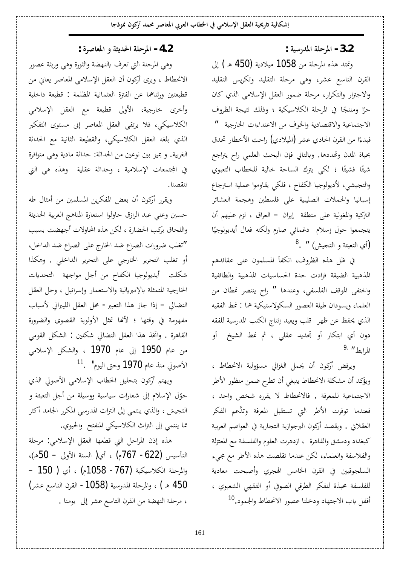**: ƨȈLJ°ƾŭ¦ƨǴƷǂŭ¦ -3.2**

وتمتد هذه المرحلة من 1058 ميلادية (450 هـ) إلى القرن التاسع عشر، وهي مرحلة التقليد وتكريس التقليد والاجترار والتكرار، مرحلة ضمور العقل الإسلامي الذي كان حرًا ومنتجًا في المرحلة الكلاسيكية ؛ وذلك نتيجة الظروف Å Å الاجتماعية والاقتصادية والخوف من الاعتداءات الخارجية <mark>"</mark> فبدءًا من القرن الحادي عشر (الميلادي) راحت الأخطار تحدق Å بحياة المدن وتهددها. وبالتالي فإن البحث العلمي راح يتراجع شيئًا فشيئًا ؛ لكي يترك الساحة خالية للخطاب التعبوي ئ<br>أ والتجيشي، لأديولوجيا الكفاح ، فلكي يقاوموا عملية استرجاع إسبانيا والحملات الصليبية على فلسطين وهجمة العشائر التركية والمغولية على منطقة إيران – العراق ، لزم عليهم أن يتجمعوا حول إسلام دغمائي صارم ولكنه فعال أيديولوجيًا Å  $^8$  $^8$ .  $^{\prime\prime}$  (أي التعبئة و التجيش)

في ظل هذه الظروف، انكفأ المسلمون على عقائدهم المذهبية الضيقة فزادت حدة الحساسيات المذهبية والطائفية واختفى الموقف الفلسفى، وعندها " راح ينتصر نمطان من العلماء ويسودان طيلة العصور السكولاستيكية هما : نمط الفقيه الذي يحفظ عن ظهر قلب ويعيد إنتاج الكتب المدرسية للفقه دون أي ابتكار أو تجديد عقل<sub>ى</sub> ، ثم نمط الشيخ أو المرابط <sup>[9](#page-13-5).</sup> "

ويرفض أركون أن يحمل الغزالي مسؤولية الانحطاط ، ويؤكد أن مشكلة الانحطاط ينبغي أن تطرِح ضمن منظور الأطر الاجتماعية للمعرفة . فالانحطاط لا يقرره شخص واحد ، فعندما توفرت الأطر التي تستقبل المعرفة وتدَّعم الفكر العقلاني . ويقصد أركون البرجوازية التجارية في العواصم العربية كبغداد ودمشق والقاهرة ، ازدهرت العلوم والفلسفة مع المعتزلة والفلاسفة والعلماء، لكن عندما تقلصت هذه الأطر مع مجيء السلجوقيين في القرن الخامس الهجري وأصبحت معادية للفلسفة محبذة للفكر الطرقي الصوفي أو الفقهي الشعبوي ، أقفل باب الاجتهاد ودخلنا عصور الانحطاط والجمود.<sup>[10](#page-13-6)</sup>

 **: ¨ǂǏƢǠŭ¦Âƨưȇƾū¦ƨǴƷǂŭ¦ -4.2**

وهي المرحلة التي تعرف بالنهضة والثورة وهي وريثة عصور الانحطاط ، ويرى أركون أن العقل الإسلامي المعاصر يعاني من قطيعتين ورثناهما عن الفترة العثمانية المظلمة : قطيعة داخلية وأخرى خارجية، الأولى قطيعة مع العقل الإسلامي الكلاسيكي، فلا يرتقى العقل المعاصر إلى مستوى التفكير الذي بلغه العقل الكلاسيكي، والقطيعة الثانية مع الحداثة الغربية. و يميز بين نوعين من الحداثة: حداثة مادية وهي متوافرة في المجتمعات الإسلامية ، وحداثة عقلية وهذه هي التي تنقصنا.

ويقرر أركون أن بعض المفكرين المسلمين من أمثال طه حسين وعلي عبد الرازق حاولوا استعارة المناهج الغربية الحديثة واللحاق بركب الحضارة ، لكن هذه المحاولات أجهضت بسبب iونغلب ضرورات الصراع ضد الخارج على الصراع ضد الداخل، أو تغلب التحرير الخارجي على التحرير الداخلي . وهكذا شكلت أيديولوجيا الكفاح من أجل مواجهة التحديات الخارجية المتمثلة بالإمبريالية والاستعمار وإسرائيل ، وحل العقل النضالي – إذا جاز هذا التعبير - محل العقل الليبرالي لأسباب مفهومة في وقتها ؛ لأنها تمثل الأولوية القصوى والضرورة القاهرة . واتخذ هذا العقل النضالي شكلين : الشكل القومي من عام 1950 إلى عام 1970 ، والشكل الإسلامي الأصولي منذ عام **1970** وحتى اليوم" . <sup>[11](#page-13-7)</sup>

ويهتم أركون بتحليل الخطاب الإسلامي الأصولي الذي حوّل الإسلام إلى شعارات سياسية ووسيلة من أجل التعبئة و التجيش ، والذي ينتمي إلى التراث المدرسي المكرر الجامد أكثر مما ينتمي إلى التراث الكلاسيكي المنفتح والحيوي.

هذه إذن المراحل التي قطعها العقل الإسلامي: مرحلة التأسيس (622- 767م) ، أي( السنة الأولى – 50هـ)، – 150 ) أي (1058 -767) والمرحلة الكلاسيكية 450 هـ) ، والمرحلة المدرسية (1058- القرن التاسع عشر) ، مرحلة النهضة من القرن التاسع عشر إلى يومنا .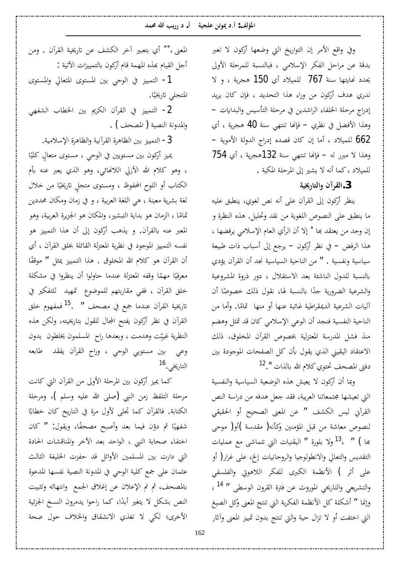**ƾǸŰɦƤȇ°°® .¢ ƨȈƴǴǟǺƫȂŻ®¢ :Ǧdzƚŭ¦**

وفي واقع الأمر إن التواريخ التي وضعها أركون لا تعبر بدقة عن مراحل الفكر الإسلامي ، فبالنسبة للمرحلة الأولى يحدد نھايتھا سنة 767 للميلاد أي 150 هجرية ، و لا ندري هدف أركون من وراء هذا التحديد ، فإن كان يريد إدراج مرحلة الخلفاء الراشدين في مرحلة التأسيس والبدايات − وهذا الأفضل في نظري – فإنها تنتهي سنة 40 هجرية ، أي – ƨȇȂǷȋ¦ƨdzÂƾdz¦«¦°®¤ǽƾǐǫÀƢǯÀ¤ƢǷ¢®ȐȈǸǴdz 662 وهذا لا مبرر له – فإنها تنتهى سنة 132هجرية ، أي 754 للميلاد ،كما أنه لا يشير إلى المرحلة المكية .

 **ƨȈź°ƢƬdz¦ÂÀ¡ǂǬdz¦.3**

ينظر أركون إلى القرآن على أنه نص لغوي، ينطبق عليه ما ينطبق على النصوص اللغوية من نقد وتحليل. هذه النظرة و إن وجد من يعتقد بَما \* إلا أن الرأي العام الإسلامي يرفضها ،هذا الرفض – في نظر أركون – يرجع إلى أسباب ذات طبيعة سياسية ونفسية . " من الناحية السياسية نجد أن القرآن يؤدي بالنسبة للدول الناشئة بعد الاستقلال ، دور ذروة المشروعية والشرعية الضرورية جدًا بالنسبة لها، نقول ذلك خصوصًا أن Å Å أليات الشرعية الديمقراطية غائبة عنها أو منها تمامًا. وأما من Å الناحية النفسية فنجد أن الوعي الإسلامي كان قد تمثل وهضم منذ فشل المدرسة المعتزلية بخصوص القرآن المخلوق، ذلك الاعتقاد اليقيني الذي يقول بأن كل الصفحات الموجودة بين دفتي المصحف تحتوي كلام الله بالذات ".<sup>[12](#page-13-9)</sup>

وبما أن أركون لا يعيش هذه الوضعية السياسية والنفسية التي تعيشها مجتمعاتنا العربية، فقد جعل هدفه من دراسة النص القرآني ليس الكشف " عن المعنى الصحيح أو الحقيقي لنصوص معاشة من قبل المؤمنين وكأنه( مقدسة )أو( موحى بَعا ) " ،<sup>[13](#page-13-10)</sup>ولا بلورة " اليقنيات التي تتماشى مع عمليات التقديس والتعالي والانطولوجيا والروحانيات إلخ، على غرار( أو على أثر ) الأنظمة الكبرى للفكر اللاهوتي والفلسفي والتشريعي والتاريخي الموروث عن فترة القرون الوسطى " <sup>[14](#page-13-11)</sup> ، وإنما " أشكلة كل الأنظمة الفكرية التي تنتج المعنى وكل الصيغ التي اختفت أو لا تزال حية والتي تنتج بدون تمييز المعنى وآثار

المعنى ،\*\* أي بتعبير آخر الكشف عن تاريخية القرآن . ومن أجل القيام بمذه المهمة قام أركون بالتمييزات الآتية :

1- التمييز في الوحي بين المستوى المتعالي والمستوى المتجلي تاريخيًا. Å

2- التمييز في القرآن الكريم بين الخطاب الشفهي والمدونة النصية ( المصحف ) .

3- التمييز بين الظاهرة القرآنية والظاهرة الإسلامية.

بميز أركون بين مستويين في الوحي ، مستوى متعالٍ كليًا Å ، وهو كلام الله الأزلي اللانهائي، وهو الذي يعبر عنه بأم الكتاب أو اللوح المحفوظ ، ومستوى متجلٍ تاريخيًا من خلال Å لغة بشرية معينة ، هي اللغة العربية ، و في زمان ومكان محددين تمامًا ، الزمان هو بداية التبشير، والمكان هو الجزيرة العربية، وهو Å المعبر عنه بالقرآن. و يذهب أركون إلى أن هذا التمييز هو نفسه التمييز الموجود في نظرية المعتزلة القائلة بخلق القرآن ، أي أن القرآن هو كلام الله المخلوق . هذا التمييز يمثل ″ موقفًا معهوفيًا مهمًا وقفه المعتزلة عندما حاولوا أن ينظروا في مشكلة Å Å خلق القرآن ، ففي مقاربتهم للموضوع تمهيد للتفكير في تاريخية القرآن عندما جمع في مصحف " .<sup>[15](#page-13-13)</sup> فمفهوم خلق القرآن في نظر أركون يفتح المجال للقول بتاريخيته، ولكن هذه النظرية غيبِّت وهدمت ، وبعدها راح المسلمون يخلطون بدون وعي بين مستويي الوحي ، وراح القرآن يفقد طابعه التاريخي.<sup>[16](#page-13-14)</sup>

كما يميز أركون بين المرحلة الأولى من القرآن التي كانت مرحلة التلفظ زمن النبي (صلى الله عليه وسلم )، ومرحلة الكتابة. فالقرآن كما تجلى لأول مرة في التاريخ كان خطابًا با<br>أ شفهيًا ثم دوّن فيما بعد وأصبح مصحفًا، ويقول: " كان Å Å اختفاء صحابة النبي ، الواحد بعد الآخر والمناقشات الحادة التي دارت بين المسلمين الأوائل قد حفزت الخليفة الثالث عثمان على جمع كلية الوحي في المدونة النصية نفسها المدعوة بالمصحف، ثم تم الإعلان عن إغلاق الجمع وانتهائه وتثبيت النص بشكل لا يتغير أبدًا، كما راحوا يدمرون النسخ الجزئية الأخرى؛ لكى لا تغذي الانشقاق والخلاف حول صحة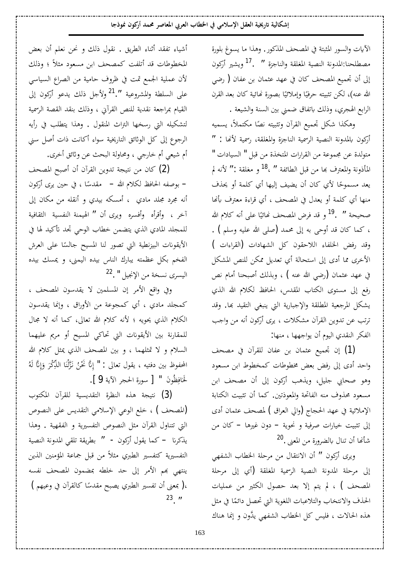الآيات والسور المثبتة في المصحف المذكور. وهذا ما يسوغ بلورة مصطلحنا:المدونة النصية المغلقة والناجزة " .<sup>[17](#page-13-15)</sup> ويشير أركون إلى أن تجميع المصحف كان في عهد عثمان بن عفان ( رضي الله عنه)، لكن تثبيته حرفيًا وإملائيًا بصورة نحائية كان بعد القرن Å  $\ddot{\cdot}$ الرابع الهجري، وذلك باتفاق ضمني بين السنة والشيعة .

وهكذا شكل تجميع القرآن وتثبيته نصًا مكتملأ، يسميه Å أركون بالمدونة النصية الرسمية الناجزة والمغلقة، رسمية لأنها : " متولدة عن مجموعة من القرارات المتخذة من قبل " السيادات " المأذونة والمعترف بما من قبل الطائفة " ،<sup>[18](#page-13-16)</sup> و مغلقة :" لأنه لم يعد مسموحًا لأي كان أن يضيف إليها أي كلمة أو يحذف Å منها أي كلمة أو يعدل في المصحف ، أي قراءة معترف بأنها صحيحة ′′ .<sup>[19](#page-13-17)</sup> و قد فرض المصحف نحائيًا عل<sub>ى</sub> أنه كلام الله Å ، كما كان قد أوحى به إلى محمد (صلى الله عليه وسلم ) . وقد رفض الخلفاء اللاحقون كل الشهادات (القراءات ) الأخرى مما أدى إلى استحالة أي تعديل ممكن للنص المشكل في عهد عثمان (رضي الله عنه ) ، وبذلك أصبحنا أمام نص رفع إلى مستوى الكتاب المقدس، الحافظ لكلام الله الذي يشكل المرجعية المطلقة والإجبارية التي ينبغي التقيد بما. وقد ترتب عن تدوين القرآن مشكلات ، يرى أركون أنه من واجب الفكر النقدي اليوم أن يواجهها ، منها:

(1) إن تجميع عثمان بن عفان للقرآن في مصحف واحد أدى إلى رفض بعض مخطوطات كمخطوط ابن مسعود وهو صحابي جليل، ويذهب أركون إلى أن مصحف ابن مسعود محذوف منه الفاتحة والمعوذتين. كما أن تثبيت الكتابة الإملائية في عهد الحجاج (والي العراق ) لمصحف عثمان أدى إلى تثبيت خيارات صرفية و نحوية – دون غيرها – كان من شأنها أن تنال بالضرورة من المعنى .<sup>[20](#page-13-18)</sup>

ويرى أركون " أن الانتقال من مرحلة الخطاب الشفهي إلى مرحلة المدونة النصية الرسمية المغلقة (أي إلى مرحلة المصحف ) ، لم يتم إلا بعد حصول الكثير من عمليات الحذف والانتخاب والتلاعبات اللغوية التي تحصل دائمًا في مثل Å هذه الحالات ، فليس كل الخطاب الشفهي يدَّون و إنما هناك

أشياء تفقد أثناء الطريق . نقول ذلك و نحن نعلم أن بعض المخطوطات قد أتلفت كمصحف ابن مسعود مثلاً ؛ وذلك لأن عملية الجمع تمت في ظروف حامية من الصراع السياسي على السلطة والمشروعية ".<sup>[21](#page-13-19)</sup>ولأجل ذلك يدعو أركون إلى القيام بمراجعة نقدية للنص القرآني ، وذلك بنقد القصة الرسمية لتشكيله التي رسخها التراث المنقول . وهذا يتطلب في رأيه الرجوع إلى كل الوثائق التاريخية سواء أكانت ذات أصل سنى أم شيعي أم خارجي ، ومحاولة البحث عن وثائق أخرى.

لَ) كان من نتيجة تدوين القرآن أن أصبح المصحف – بوصفه الحافظ لكلام الله – مقدسًا ، في حين يرى أركون أنه مجرد مجلد مادي ، أمسكه بيدي و أنقله من مكان إلى آخر ، وأقرأه وأفسره ويرى أن " الهيمنة النفسية الثقافية للمجلد المادي الذي يتضمن خطاب الوحي تجد تأكيد لها في الأيقونات البيزنطية التي تصور لنا المسيح جالسًا على العرش Å الفخم بكل عظمته يبارك الناس بيده اليمني، و يمسك بيده اليسري نسخة من الإنجيل " .<sup>[22](#page-13-20)</sup>

وفي واقع الأمر إن المسلمين لا يقدسون المصحف ، كمجلد مادي ، أي كمجوعة من الأوراق ، وإنما يقدسون الكلام الذي يحويه ؛ لأنه كلام الله تعالى، كما أنه لا مجال للمقارنة بين الأيقونات التي تحاكي المسيح أو مريم عليهما السلام و لا تمثلهما ، و بين المصحف الذي يمثل كلام الله المحفوظ بين دفتيه ، يقول تعالى : " إِنَّا نَخْنُ نَزَّلْنَا الذِّكْرَ وَإِنَّا لَهُ ا<br>چ È È Ê لْحَافِظُونَ " [ سورة الحجر الآية 9 ]. Ê .<br>ا

(3) نتيجة هذه النظرة التقديسية للقرآن المكتوب (المصحف ) ، خلع الوعي الإسلامي التقديس على النصوص التي تتناول القرآن مثل النصوص التفسيرية و الفقهية . وهذا يذكرنا — كما يقول أركون - " بطريقة تلقى المدونة النصية التفسيرية كتفسير الطبري مثلاً من قبل جماعة المؤمنين الذين ينتهي بهم الأمر إلى حد خلطه بمضمون المصحف نفسه )( بمعنى أن تفسير الطبري يصبح مقدسًا كالقرآن في وعيهم ) Å  $^{23}$  $^{23}$  $^{23}$ .  $^{\prime\prime}$ 

163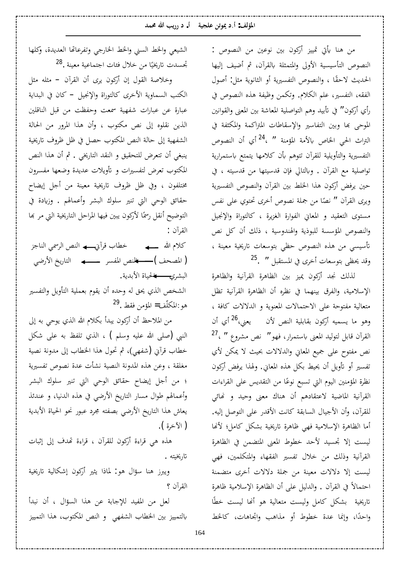**ƾǸŰɦƤȇ°°® .¢ ƨȈƴǴǟǺƫȂŻ®¢ :Ǧdzƚŭ¦**

من هنا يأتي تمييز أركون بين نوعين من النصوص : النصوص التأسيسية الأولى والمتمثلة بالقرآن، ثم أضيف إليها الحديث لاحقًا ، والنصوص التفسيرية أو الثانوية مثل: أصول الفقه، التفسير، علم الكلام. وتكمن وظيفة هذه النصوص في رأي أركون″ في تأبيد وهم التواصلية المعاشة بين المعنى والقوانين الموحى بها وبين التفاسير والإسقاطات المتراكمة والمكثفة في التراث الحي الخاص بالأمة المؤمنة " ،<sup>[24](#page-13-22)</sup> أي أن النصوص التفسيرية والتأويلية للقرآن تتوهم بأن كلامها يتمتع باستمرارية تواصلية مع القرآن . وبالتالي فإن قدسيتها من قدسيته ، في حين يرفض أركون هذا الخلط بين القرآن والنصوص التفسيرية ويرى القرآن " نصًا من جملة نصوص أخرى تحتوي على نفس Å مستوى التعقيد و المعاني الفوارة الغزيرة ، كالتوراة والإنجيل والنصوص المؤسسة للبوذية والهندوسية ، ذلك أن كل نص تأسيسي من هذه النصوص حظى بتوسعات تاريخية معينة ،  $^{25}$  $^{25}$  $^{25}$ .  $^{\prime\prime}$ وقد يحظى بتوسعات أخرى في المستقبل  $^{\prime\prime}$ 

لذلك نجد أركون يميز بين الظاهرة القرآنية والظاهرة الإسلامية، والفرق بينهما في نظره أن الظاهرة القرآنية تظل متعالية مفتوحة على الاحتمالات المعنوية و الدلالات كافة ، وهو ما يسميه أركون بقابلية النص لأن يعني،<sup>[26](#page-13-24)</sup> أي أن  $^{27}$  $^{27}$  $^{27}$ ، القرآن قابل لتوليد المعنى باستمرار، فهو $^{\prime\prime}$  'فص مشروع  $^{\prime\prime}$ نص مفتوح على جميع المعاني والدلالات بحيث لا يمكن لأي تفسير أو تأويل أن يحيط بكل هذه المعاني. ولهذا يرفض أركون نظرة المؤمنين اليوم التي تسبع نوعًا من التقديس على القراءات Å القرآنية الماضية لاعتقادهم أن هناك معنى وحيد و نحائي للقرآن، وأن الأجيال السابقة كانت الأقدر على التوصل إليه. أما الظاهرة الإسلامية فهي ظاهرة تاريخية بشكل كامل؛ لأنها ليست إلا تجسيد لأحد خطوط المعنى المتضمن في الظاهرة القرآنية وذلك من خلال تفسير الفقهاء والمتكلمين، فهي ليست إلا دلالات معينة من جملة دلالات أخرى متضمنة احتمالاً في القرآن . والدليل على أن الظاهرة الإسلامية ظاهرة تاريخية بشكل كامل وليست متعالية هو أنحا ليست خطًا واحدًا، وإنما عدة خطوط أو مذاهب واتجاهات، كالخط Å

الشيعي والخط السني والخط الخارجي وتفرعاتها العديدة، وكلها تجسدت تاريخيًا من خلال فئات اجتماعية معينة .<sup>[28](#page-13-25)</sup> Å

وخلاصة القول إن أركون يرى أن القرآن – مثله مثل الكتب السماوية الأخرى كالتوراة والإنجيل – كان في البداية عبارة عن عبارات شفهية سمعت وحفظت من قبل الناقلين الذين نقلوه إلى نص مكتوب ، وأن هذا المرور من الحالة الشفهية إلى حالة النص المكتوب حصل في ظل ظروف تاريخية ينبغي أن تتعرض للتحقيق و النقد التاريخي . ثم أن هذا النص المكتوب تعرض لتفسيرات و تأويلات عديدة وضعها مفسرون مختلفون ، وفي ظل ظروف تاريخية معينة من أجل إيضاح حقائق الوحي التي تنير سلوك البشر وأعمالهم . وزيادة في التوضيح أنقل رسمًا لأركون يبين فيها المراحل التاريخية التي مر بما القرآن :

كلام الله ـــــــه خطاب قرآييـــــــه النص الرسمي الناجز ȆǓ°ȋ¦ƺȇ°ƢƬdz¦ ǂLjǨŭ¦ǎǼdz¦ ( ǦƸǐŭ¦ ) البشرى<del>\_\_\_ له ل</del>حياة الأبدية. الشخص الذي يحق له وحده أن يقوم بعملية التأويل والتفسير

هو :المكلّف= المؤمن فقط .<sup>[29](#page-13-26)</sup>

من الملاحظ أن أركون يبدأ بكلام الله الذي يوحي به إلى النبي (صلى الله عليه وسلم ) ، الذي تلفظ به على شكل خطاب قرآني (شفهي)، ثم تحول هذا الخطاب إلى مدونة نصية مغلقة ، وعن هذه المدونة النصية نشأت عدة نصوص تفسيرية ؛ من أجل إيضاح حقائق الوحي التي تنير سلوك البشر وأعمالهم طوال مسار التاريخ الأرضي في هذه الدنيا، و عندئذ يعاش هذا التاريخ الأرضى بصفته مجرد عبور نحو الحياة الأبدية ( الآخرة ).

هذه هي قراءة أركون للقرآن ، قراءة تهدف إلى إثبات تاريخيته .

ويبرز هنا سؤال هو: لماذا يثير أركون إشكالية تاريخية القرآن ؟

لعل من المفيد للإجابة عن هذا السؤال ، أن نبدأ بالتمييز بين الخطاب الشفهي و النص المكتوب، هذا التمييز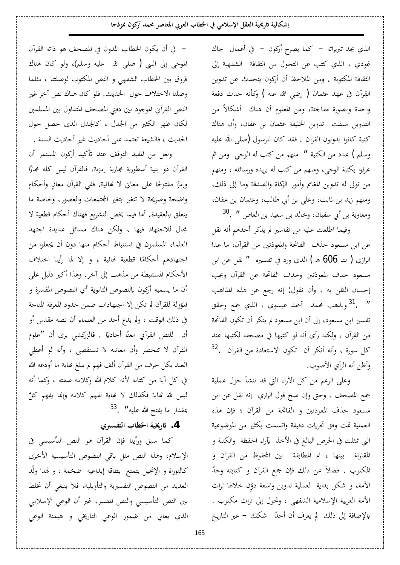الذي يجد تبريراته – كما يصرح أركون – في أعمال جاك غودي ، الذي كتب عن التحول من الثقافة الشفهية إلى الثقافة المكتوبة . ومن الملاحظ أن أركون يتحدث عن تدوين القرآن في عهد عثمان ( رضى الله عنه ) وكأنه حدث دفعة واحدة وبصورة مفاجئة، ومن المعلوم أن هناك أشكالاً من التدوين سبقت تدوين الخليفة عثمان بن عفان، وأن هناك كتبة كانوا يدونون القرآن . فقد كان للرسول (صلى الله عليه وسلم ) عدد من الكتبة ″ منهم من كتب له الوحي ًومن ثم عرفوا بكتبة الوحى، ومنهم من كتب له بريده ورسائله ، ومنهم من تولى له تدوين المغانم وأمور الزكاة والصدقة وما إلى ذلك، ومنهم زيد بن ثابت، وعلي بن أبي طالب، وعثمان بن عفان، ومعاوية بن أبي سفيان، وخالد بن سعيد بن العاص " .<sup>[30](#page-13-27)</sup>

وفيما اطلعت عليه من تفاسير لم يذكر أحدهم أنه نقل عن ابن مسعود حذف الفاتحة والمعوذتين من القرآن، ما عدا الرازي ( ت 606 ه ) الذي ورد في تفسيره  $\,$  '' نقل عن ابن مسعود حذف المعوذتين وحذف الفاتحة عن القرآن ويجب إحسان الظن به ، وأن نقول: إنه رجع عن هذه المذاهب 1 . <sup>[31](#page-13-28)</sup>ويذهب محمد أحمد عيسوي ، الذي جمع وحقق " تفسير ابن مسعود، إلى أن ابن مسعود لم ينكر أن تكون الفاتحة من القرآن ، ولكنه رأى أنه لو كتبها في مصحفه لكتبها عند [32](#page-13-29) . كل سورة ، وأنه أنكر أن تكون الاستعاذة من القرآن وأظن أنه الرأي الأصوب.

وعلى الرغم من كل الأراء التي قد تنشأ حول عملية جمع المصحف ، وحتى وإن صح قول الرازي إنه نقل عن ابن مسعود حذف المعوذتين و الفاتحة من القرآن ؛ فإن هذه العملية تمت وفق تحريات دقيقة واتسمت بكثير من الموضوعية التي تمثلت في الحرص البالغ في الأخذ بأراء الحفظة والكتبة و المقارنة بينها ، ثم المطابقة بين المحفوظ من القرآن و المكتوب . فضلاً عن ذلك فإن جمع القرآن و كتابته وحدّ الأمة، و شكل بداية لعملية تدوين واسعة دوِّن خلالها تراث الأمة العربية الإسلامية الشفهي ، وتحول إلى تراث مكتوب . بالإضافة إلى ذلك لم يعرف أن أحدًا شكك – عبر التاريخ Å

– في أن يكون الخطاب المدون في المصحف هو ذاته القرآن الموحى إلى النبي ( صلى الله عليه وسلم)، ولو كان هناك فروق بين الخطاب الشفهي و النص المكتوب لوصلتنا ، مثلما وصلنا الاختلاف حول الحديث. فلو كان هناك نص أخر غير النص القرآني الموجود بين دفتي المصحف المتداول بين المسلمين لكان ظهر الكثير من الجدل ، كالجدل الذي حصل حول الحديث ، فالشيعة تعتمد على أحاديث غير أحاديث السنة .

ولعل من المفيد التوقف عند تأكيد أركون المستمر أن القرآن ذو بنية أسطورية مجازية رمزية، فالقرآن ليس كله مجازًا Å ورمزًا مفتوحًا على معاني لا نُحائية. ففي القرآن معانٍ وأحكام Å Å واضحة وصريحة لا تتغير بتغير المجتمعات والعصور، وخاصة ما يتعلق بالعقيدة. أما فيما يخص التشريع فهناك أحكام قطعية لا مجال للاجتهاد فيها ، ولكن هناك مسائل عديدة اجتهد العلماء المسلمون في استنباط أحكام منها دون أن يجعلوا من اجتهادهم أحكامًا قطعية نمائية ، و إلا لما رأينا اختلاف Å الأحكام المستنبطة من مذهب إلى آخر. وهذا أكبر دليل على أن ما يسميه أركون بالنصوص الثانوية أي النصوص المفسرة و المؤولة للقرآن لم تكن إلا اجتهادات ضمن حدود المعرفة المتاحة في ذلك الوقت ، ولم يدع أحد من العلماء أن نصه مقدس أو أن للنص القرآني معنًا أحاديًا . فالزركشي يرى أن "علوم يا<br>-Å القرآن لا تنحصر وأن معانيه لا تستقصي ، وأنه لو أعطى العبد بكل حرف من القرآن ألف فهم لم يبلغ نماية ما أودعه الله في كل آية من كتابه لأنه كلام الله وكلامه صفته ، وكما أنه ليس لله نھاية فكذلك لا نھاية لفھم كلامه وإنما يفھم كلٌ<br>--بمقدار ما يفتح الله عليه**′′ .** <sup>[33](#page-13-30)</sup>

# **ÄŚLjǨƬdz¦§ƢǘŬ¦ƨȈź°ʫ .4**

كما سبق ورأينا فإن القرآن هو النص التأسيسي في الإسلام، وهذا النص مثل باقى النصوص التأسيسية الأخرى كالتوراة و الإنجيل يتمتع بطاقة إبداعية ضخمة ، و لهذا ولّد العديد من النصوص التفسيرية والتأويلية، فلا ينبغي أن نخلط بين النص التأسيسي والنص المفسر، غير أن الوعي الإسلامى الذي يعاني من ضمور الوعي التاريخي و هيمنة الوعي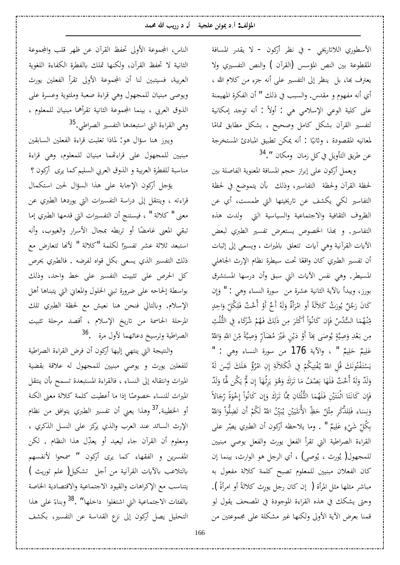الأسطوري اللاتاريخي - في نظر أركون - لا يقدر المسافة المقطوعة بين النص المؤسس (القرآن ) والنص التفسيري ولا يعترف بها، بل ينظر إلى التفسير على أنه جزء من كلام الله ، أي أنه مفهوم و مقدس. والسبب في ذلك " أن الفكرة المهيمنة على كلية الوعى الإسلامي هي : أولاً : أنه توجد إمكانية لتفسير القرآن بشكل كامل وصحيح ، بشكل مطابق تمامًا Å لمعانيه المقصودة ، وثانيًا : أنه يمكن تطبيق المبادئ المستخرجة .<br>. عن طريق التأويل في كل زمان ومكان ".<sup>[34](#page-13-31)</sup>

ويعمل أركون على إبراز حجم المسافة المعنوية الفاصلة بين لحظة القرآن ولحظة التفاسير، وذلك بأن يتموضع في لحظة التفاسير لكي يكشف عن تاريخيتها التي طمست، أي عن الظروف الثقافية والاجتماعية والسياسية التي ولدت هذه التفاسير . و بهذا الخصوص يستعرض تفسير الطبري لبعض الأيات القرآنية وهي آيات تتعلق بالميراث ، ويسعى إلى إثبات أن تفسير الطبري كان واقعًا تحت سيطرة نظام الإرث الجاهلي Å المسيطر. وهي نفس الآيات التي سبق وأن درسها المستشرق بورز، ويبدأ بالآية الثانية عشرة من سورة النساء وهي : " وَإِن ا<br>مو È كَانَ رَجُلٌ يُورَثُ كَلاَلَةً أَوِ امْرَأَةٌ وَلَهُ أَخٌ أَوْ أُحْتٌ فَلِكُلِّ وَاحِدٍ<br>~ È Ê È Ì È È Ì Å È و<br>يہ تِنْهُمَا السُّلُسُ فَإِن كَانُوَاْ أَكْثَرَ مِن ذَلِكَ فَهُمْ شُرَكَاء فِي الثُّلُثِ Ê È È È Ê È ¦ È مِن بَعْدِ وَصِيَّةٍ يُوصَى بِمَآ أَوْ دَيْنٍ غَيْرَ مُضَآرٍّ وَصِيَّةً مِّنَ اللهِ وَاللهُ È Ê È Ê È È Ì Ì ه<br>يا È Ì È و<br>پہ Ç È È عَلِيمٌ حَلِيمٌ " ، والآية 176 من سورة النساء وهي : " Ê È Ê È Èdz ÈȐǰÈ Ìdz¦ ĿÊ ǶǰȈ É ƬǨÌ É ºȇ ÉË ɍ¦ DzÊ É ǫ ǮÈ È ǻȂÉ ƬǨÌ È ºƬ LjÈ É ǾÈdz džÌ ȈÈdz ǮÈ ÈǴ ǿ Æ £ É ǂ Ƿ¦ ÊÀÊ ƨ Ì .<br>ب Ì ِ<br>ی È È Ì ا<br>م Ê وَلَدٌ وَلَهُ أُحْتٌ فَلَهَا نِصْفُ مَا تَرَكَ وَهُوَ يَرِثُهَآ إِن لَمٌّ يَكُن لَّمَا وَلَدٌ È È ِ<br>یہ È È È È Ê  $\triangleleft$ È È È È È ب<br>ا ِ<br>یا Ì ا<br>يو فَإِن كَانَتَا اثْنَتَيْنِ فَلَهُمَا الثُّلُثَانِ مِمَّا تَرَكَ وَإِن كَانُواْ إِخْوَةً رِّجَالاً È È ا<br>م Ì Ê ¤ È È Ê È È È Ƭ È È Ƭ È Ê È وَنِسَاء فَلِلذَّكَرِ مِثْلُ حَظِّ الأُنثَيَيْنِ يُبَيِّنُ اللهُ لَكُمْ أَن تَضِلُّواْ وَاللهُ<br>. ư Ê Ê È È ǻ È È È Ì  $\tilde{a}$ Ȉ È È كُلِّ شَيْءٍ عَلِيمٌ " . وما يلاحظه أركون أن الطبري يصِّر على Ê È Ç Ì Ê Ê با القراءة الصراطية التي تقرأ الفعل يورث والفعل يوصى مبنيين للمجهول( يُورث ، يُوصى) ، أي الرجل هو الوارث، بينما إن كان الفعلان مبنيين للمعلوم تصبح كلمة كلالة مفعول به مباشر مثلها مثل المرأة ( إن كان رجل يورِث كلالةً أو امرأةً ). Å وحتى يشكك في هذه القراءة الموجودة في المصحف يقول لو قمنا بعرض الآية الأولى ولكنها غير مشكلة على مجموعتين من

الناس، المجموعة الأولى تحفظ القرآن عن ظهر قلب والمجموعة الثانية لا تحفظ القرآن، ولكنها تملك بالفطرة الكفاءة اللغوية العربية، فسيتبين لنا أن المجموعة الأولى تقرأ الفعلين يورث ويوصي مبنيان للمجهول وهي قراءة صعبة وملتوية وعسرة على الذوق العربي ، بينما المجموعة الثانية تقرأهما مبنيان للمعلوم ، وهي القراءة التي استبعدها التفسير الصراطي.<sup>[35](#page-13-32)</sup>

ويبرز هنا سؤال هو: لماذا تغلبت قراءة الفعلين السابقين مبنيين للمجهول على قراءتهما مبنيان للمعلوم، وهي قراءة مناسبة للفطرة العربية و الذوق العربي السليم كما يرى أركون ؟ يؤجل أركون الإجابة على هذا السؤال لحين استكمال

قراءته ، وينتقل إلى دراسة التفسيرات التي يوردها الطبري عن معنى " كلالة " ، فيستنج أن التفسيرات التي قدمها الطبري إما تبقى المعنى غامضًا أو تربطه بمجال الأسرار والغيوب، وأنه استبعد ثلاثة عشر تفسيرًا لكلمة "كلالة " لأنها تتعارض مع Å ذلك التفسير الذي يسعى بكل قواه لفرضه . فالطبري يحرص كل الحرص على تثبيت التفسير على خط واحد، وذلك بواسطة إلحاحه على ضرورة تبني الحلول والمعاني التي يتبناها أهل الإسلام. وبالتالي فنحن هنا نعيش مع لحظة الطبري تلك المرحلة الحاسمة من تاريخ الإسلام ، أقصد مرحلة تثبيت الصراطية وترسيخ دعائهما لأول مرة . <sup>[36](#page-13-33)</sup>

والنتيجة التي ينتهي إليها أركون أن فرض القراءة الصراطية للفعلين يورث و يوصي مبنيين للمجهول له علاقة بقضية الميراث وانتقاله إلى النساء ، فالقراءة المستبعدة تسمح بأن ينتقل الميراث للنساء خصوصًا إذا ما أعطيت كلمة كلالة معنى الكنة Å أو الخطيبة.<sup>[37](#page-13-34)</sup> وهذا يعني أن تفسير الطبري يتوافق من نظام الإرث السائد عند العرب والذي يركز على النسل الذكري ، ومعلوم أن القرآن جاء ليعيد أو يعدِّل هذا النظام . لكن المفسرين و الفقهاء كما يرى أركون **"** سمحوا لأنفسهم بالتلاعب بالآيات القرآنية من أجل تشكيل( علم توريث ) يتناسب مع الإكراهات والقيود الاجتماعية والاقتصادية الخاصة بالفئات الاجتماعية التي اشتغلوا داخلها″ .<sup>[38](#page-13-35)</sup> وبناءً على هذا Å التحليل يصل أركون إلى نزع القداسة عن التفسير، بكشف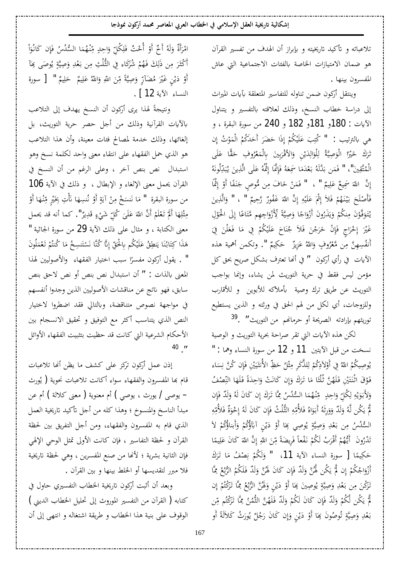تلاعباته و تأكيد تاريخيته و بإبراز أن الهدف من تفسير القرآن هو ضمان الامتيازات الخاصة بالفئات الاجتماعية التي عاش المفسرون بينها .

وينتقل أركون ضمن تناوله للتفاسير المتعلقة بآيات الميراث إلى دراسة خطاب النسخ، وذلك لعلاقته بالتفسير و يتناول الآيات : 180و 181و 182 و 240 من سورة البقرة ، و Ê ا<br>م Ì هي بالترتيب : " كُتِبَ عَلَيْكُمْ إِذَا حَضَرَ أَحَدَكُمُ الْمَوْتُ إِن Ì È È È È È تَرَكَ خَيْرًا الْوَصِيَّةُ لِلْوَالِدَيْنِ وَالأَقْرَبِينَ بِالْمَعْرُوفِ حَقًّا عَلَى<br>. È È Ì È È È Ì ه<br>يو È Ê È Ê dz È Å Ì È É ǾÈ ǻȂÉdz ÊƾËÈ É ºȇ ǺȇÊǀċdz¦ȄÈǴ ǟ É ǾÉÌť ¤ƢÈŶċÊ Ɯ ǧ É Ǿ Ǡ ÊũƢ È È ǷÈ ƾÌ Ǡ ºƥ É ǾÈdzċƾ ƥǺ ǸÈ ǧ " "śÈ ǬċƬ É ǸÌdz¦  $\tilde{\cdot}$ È È  $\vdots$ ن<br>أ È È È È Ê إِنَّ اللّهَ سَمِيعٌ عَلِيمٌ " ، " فَمَنْ خَافَ مِن مُّوصٍ جَنَفًا أَوْ إِثْمًا Ê È Ê ا<br>چ Ì Å È Ê È È فَأَصْلَحَ بَيْنَهُمْ فَلاَ إِثْمَ عَلَيْهِ إِنَّ اللّهَ غَفُورٌ رَّحِيمٌ " ، " وَالَّذِينَ È Ê ا<br>م Ê Ì È Ê ا<br>م Ì Ì È  $\zeta$ Ì È ¾Ê Ȃ ū¦ Ì ńÈ ¤Ƣ ǟƢ ƬǷǶ ċ ȀÊ ÊƳ¦ ÂÌ ±ÈÊȋË Å ƨċ ȈǏÊ ÂƢ Ƴ¦ ÂÌ ±È¢ ÀÂÈ É °ǀÈ Â ǶǰǼ É Ƿ ÀÈ Ȃċºǧ ȂÈ ºƬ É ºȇ Ì .<br>أ Ê Å È È È Å È È ȇ È Ì Ê Ì È È غَيْرَ إِخْرَاجٍ فَإِنْ خَرَجْنَ فَلاَ جُنَاحَ عَلَيْكُمْ فِي مَا فَعَلْنَ فِيَ Ì ا<br>م È Ì  $\zeta$ È È È Ì Ì È  $\zeta$ Ǽ È È È Ê ن<br>أ أَنفُسِهِنَّ مِن مَّعْرُوفٍ وَاللّهُ عَزِيزٌ ۚ حَكِيمٌ ". وتكمن أهمية هذه È È Ì Ê الآيات في رأي أركون " في أنها تعترف بشكل صريح بحق كل مؤمن ليس فقط في حرية التوريث لمن يشاء، وإنما بواجب التوريث عن طريق ترك وصية بأملاكه للأبوين و للأقارب وللزوجات، أي لكل من لهم الحق في ورثته و الذين يستطيع توريثهم بإرادته الصريحة أو حرمانهم من التوريث″. <sup>[39](#page-13-36)</sup>

لكن هذه الآيات التي تقر صراحة بحرية التوريث و الوصية نسخت من قبل الآيتين 11 و 12 من سورة النساء وهما : " بُوصِيكُمُ اللّهُ فِي أَوْلاَدِكُمْ لِلذَّكَرِ مِثْلُ حَظِّ الأُنثَيَيْنِ فَإِن كُنَّ نِسَاء<br>. È Ê ن<br>أ Ȉ È È ư Ê Ê dz Ì Ê و<br>پہ فَوْقَ اثْنَتَيْنِ فَلَهُنَّ ثُلُثًا مَا تَرَكَ وَإِن كَانَتْ وَاحِدَةً فَلَهَا النِّصْفُ Ê È È È È Ê ¤ È È È È È نې<br>ن È Ì وَلأَبَوَيْهِ لِكُلِّ وَاحِدٍ ۚ مِّنْهُمَا السُّلُسُ مِمَّا تَرَكَ إِن كَانَ لَهُ وَلَدٌ فَإِن<br>ء Ê È Ê È È Ê dz Ê .<br>. ه<br>يا È È È ن<br>أ È È Ê لَّمَّ يَكُن لَّهُ وَلَدٌّ وَوَرِثَهُ أَبَوَاهُ فَلأُمِّهِ الثُّلُثُ فَإِن كَانَ لَهُ إِخْوَةٌ فَلأُمِّهِ e<br>K È ا<br>چ Ê È Ê È È È È È È ȇ Ì السُّلُسُ مِن بَعْدِ وَصِيَّةٍ يُوصِي بِحَا أَوْ دَيْنٍ آبَآؤُكُمْ وَأَبناؤُكُمْ لاَ<br>. Ì È Ì با<br>ا Ì ه<br>يا È Ì È و<br>پا  $\ddot{\phantom{0}}$ È È Å ƢǠǨÌÈ ºǻ ǶǰÉ Èdz §É È ǂÌ ºǫÈ¢ Ƕ É Ȁ Č ºȇÈ¢ ÀÂÈ É °ƾÌÈ Ƣ ƫ ǸȈ Ǵ ǟ ÀƢ È ǯÈ ÈË ɍ¦ Àċ Ë ɍ¦ Ǻ Ë Ƿ Å ƨǔȇ ǂÊ ǧ Ì Ì Å Ê È Ê ا<br>م Ê È Ê È .<br>كر حَكِيمًا [ سورة النساء الآية 11، " وَلَكُمْ نِصْفُ مَا تَرَكَ Å È È Ê ǻ Ì È أَزْوَاجُكُمْ إِن لَمُّ يَكُن لَهُنَّ وَلَدٌ فَإِن كَانَ لَهُنَّ وَلَدٌ فَلَكُمُ الرُّبُعُ مِمَّا Ê وگيا È È Ê ن<br>أ È È ȇ Ì ∫<br>¤ Ì È È تَرَكْنَ مِن بَعْدِ وَصِيَّةٍ يُوصِينَ بِمَا أَوْ دَيْنٍ وَلَهُنَّ الرُّبُعُ مِمَّا تَرَكْتُمْ إِن<br>. و<br>يا Ç È È È È ا<br>چ Ì ر<br>. Ê وي È Ì ه<br>يا È Ì لَّ يَكُن لَّكُمْ وَلَدٌ فَإِن كَانَ لَكُمْ وَلَدٌ فَلَهُنَّ الثُّمُنُ مِمَّا تَرَكْتُم مِّن ر<br>ا Ê È È Ì Ê ن<br>أ È Ì È ȇ Ì Å بَعْدِ وَصِيَّةٍ تُوصُونَ بِمَا أَوْ دَيْنٍ وَإِن كَانَ رَجُلٌ يُورَثُ كَلاَلَةً أَو È و<br>يا Ê ا<br>معر È Ì ہ<br>یہ È Ì È پر<br>ن Ç È È

امْرَأَةٌ وَلَهُ أَخٌ أَوْ أُخْتٌ فَلِكُلِّ وَاحِدٍ مِّنْهُمَا السُّلُسُ فَإِن كَانُوَاٰ<br>ِ È È Ì Ì ¦ È Ê .<br>أ È È Ê ن<br>أ Ì أَكْثَرَ مِن ذَلِكَ فَهُمْ شُرَكَاء فِي الثُّلُثِ مِن بَعْدِ وَصِيَّةٍ يُوصَى بِمَآ È و<br>ي Ç È È ر<br>ا Ê È أَوْ دَيْنٍ غَيْرَ مُضَآرٍّ وَصِيَّةً مِّنَ اللهِ وَاللهُ عَلِيمٌ ۚ حَلِيمٌ " [ سورة Ê È Ê È È Ê È س<br>م È È Ì ا<br>نا ه<br>يو È Ì النساءِ الآية 12 ] .

ونتيجةً لهذا يرى أركون أن النسخ يهدف إلى التلاعب بالآيات القرآنية وذلك من أجل حصر حرية التوريث، بل إلغائها، وذلك خدمة لمصالح فئات معينة، وأن هذا التلاعب هو الذي حمل الفقهاء على انتقاء معنى واحد لكلمة نسخ وهو استبدال نص بنص آخر ، وعلى الرغم من أن النسخ في القرآن يحمل معنى الإلغاء و الإبطال ، و ذلك في الآية 106 Ì من سورة البقرة " مَا نَنسَخْ مِنْ آيَةٍ أَوْ نُنسِهَا نَأْتِ بِخَيْرٍ مِّنْهَا أَوْ È Ì بر<br>ز Ì يا<br>أ Ì Ê È ن<br>ا È مِثْلِهَا أَلَمْ تَعْلَمْ أَنَّ اللّهَ عَلَىَ كُلِّ شَيْءٍ قَدِيرٌ". كما أنه قد يحمل Ç Ì Ê È È Ì Ì Ì È Ê Ì ە<br>ئى Ê معنى الكتابة ، و مثال على ذلك الآية 29 من سورة الجاثية " هَذَا كِتَابُنَا يَنطِقُ عَلَيْكُم بِالْحَقِّ إِنَّا كُنَّا نَسْتَنسِحُ مَا كُنتُمْ تَعْمَلُونَ </sub><br>م Ì Ì È È Ƭ Ì Ê |<br>€ Ê È Ì È ي:<br>. È  $\ddot{\ddot{\cdot}}$ È Ƭ È " . يقول أركون مفسرًا سبب اختيار الفقهاء والأصوليين لهذا ر<br>ا المعنى بالذات : " أن استبدال نص بنص أو نص لاحق بنص سابق، فهو ناتج عن مناقشات الأصوليين الذين وجدوا أنفسهم في مواجهة نصوص متناقضة، وبالتالي فقد اضطروا لاختيار النص الذي يتناسب أكثر مع التوفيق و تحقيق الانسجام بين الأحكام الشرعية التي كانت قد حظيت بتثبيت الفقهاء الأوائل [40](#page-13-37) ."

إذن عمل أركون تركز على كشف ما يظن أنها تلاعبات قام بما المفسرون والفقهاء سواء أكانت تلاعبات نحوية ( يُورث – يوصي / يورث ، يوصي ) أم معنوية ( معنى كلالة ) أم عن مبدأ الناسخ والمنسوخ ؛ وهذا كله من أجل تأكيد تاريخية العمل الذي قام به المفسرون والفقهاء، ومن أجل التفريق بين لحظة القرآن و لحظة التفاسير ، فإن كانت الأولى تمثل الوحي الإلهي فإن الثانية بشرية ؛ لأنها من صنع المفسرين ، وهي لحظة تاريخية فلا مبرر لتقديسها أو الخلط بينها و بين القرآن .

وبعد أن أثبت أركون تاريخية الخطاب التفسيري حاول في كتابه ( القرآن من التفسير الموروث إلى تحليل الخطاب الديني ) الوقوف على بنية هذا الخطاب و طريقة اشتغاله و انتهى إلى أن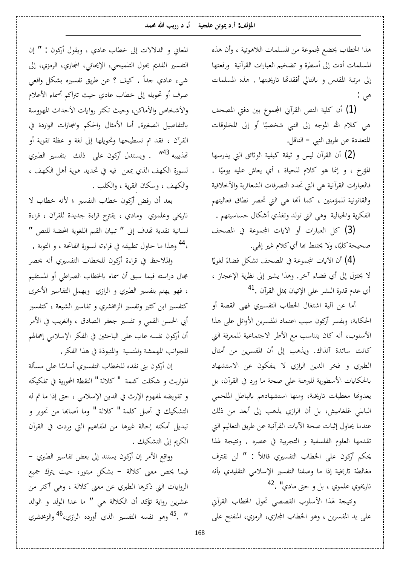هذا الخطاب يخضع لمجموعة من المسلمات اللاهوتية ، وأن هذه المسلمات أدت إلى أسطرة و تضخيم العبارات القرآنية ورفعتها إلى مرتبة المقدس و بالتالي أفقدتها تاريخيتها . هذه المسلمات هي :

(1) أن كلية النص القرآني المجموع بين دفتي المصحف هي كلام الله الموجه إلى النبي شخصيًا أو إلى المخلوقات Å المتعددة عن طريق النبي – الناقل.

ل) أن القرآن ليس و ثيقة كبقية الوثائق التي يدرسها المؤرخ ، و إنما هو كلام للحياة ، أي يعاش عليه يوميًا . Å فالعبارات القرآنية هي التي تحدد التصرفات الشعائرية والأخلاقية والقانونية للمؤمنين ، كما أنها هي التي تحصر نطاق فعاليتهم الفكرية والخيالية وهي التي تولد وتغذي أشكال حساسيتهم .

لُّ) كل العبارات أو الأيات المجموعة في المصحف صحيحة كليًا، ولا يختلط بما أي كلام غير إلهي. Å

(4) أن الأيات المجموعة في المصحف تشكل فضاءً لغويًا يا<br>-Å لا يختزل إلى أي فضاء آخر. وهذا يشير إلى نظرية الإعجاز ، أي عدم قدرة البشر على الإتيان بمثل القرآن .<sup>[41](#page-13-38)</sup>

أما عن آلية اشتغال الخطاب التفسيري فه<sub>ى</sub> القصة أو الحكاية، ويفسر أركون سبب اعتماد المفسرين الأوائل على هذا الأسلوب، أنه كان يتناسب مع الأطر الاجتماعية للمعرفة التي كانت سائدة آنذاك. ويذهب إلى أن المفسرين من أمثال الطبري و فخر الدين الرازي لا ينفكون عن الاستشهاد بالحكايات الأسطورية للبرهنة على صحة ما ورد في القرآن، بل يعدونها معطيات تاريخية، ومنها استشهادهم بالباطل الملحمي البابلي غلغاميش، بل أن الرازي يذهب إلى أبعد من ذلك عندما يحاول إثبات صحة الآيات القرآنية عن طريق التعاليم التي تقدمها العلوم الفلسفية و التجريية في عصره . ونتيجة لهذا يحكم أركون على الخطاب التفسيري قائلاً : " لن نقترف مغالطة تاريخية إذا ما وصفنا التفسير الإسلامي التقليدي بأنه تاريخوي علموي ، بل و حتى مادي" .<sup>[42](#page-13-39)</sup>

ونتيجة لهذا الأسلوب القصصى تحول الخطاب القرآبي على يد المفسرين ، وهو الخطاب المجازي، الرمزي، المنفتح على

المعاني و الدلالات إلى خطاب عادي ، ويقول أركون : " إن التفسير القديم يحول التلميحي، الإيحائي، المجازي، الرمزي، إلى شيء عادي جداً . كيف ؟ عن طريق تفسيره بشكل واقعي صرف أو تحويله إلى خطاب عادي حيث تتراكم أسماء الأعلام والأشخاص والأماكن، وحيث تكثر روايات الأحداث المهووسة بالتفاصيل الصغيرة. أما الأمثال والحكم والمجازات الواردة في القرآن ، فقد تم تسطيحها وتحويلها إلى لغة و عظة تقوية أو تهذيبيه <[s](#page-13-40)up>143</sup>″ . ويستدل أركون على ذلك بتفسير الطبري لسورة الكهف الذي يمعن فيه في تحديد هوية أهل الكهف ، والكهف ، وسكان القرية ، والكلب .

بعد أن رفض أركون خطاب التفسير ؛ لأنه خطاب لا تاريخي وعلموي ومادي ، يقترح قراءة جديدة للقرآن ، قراءة لسانية نقدية تهدف إلى " تبيان القيم اللغوية المحضة للنص " ،<sup>[44](#page-13-41)</sup> وهذا ما حاول تطبيقه في قراءته لسورة الفاتحة ، و التوبة .

والملاحظ في قراءة أركون للخطاب التفسيري أنه يحصر مجال دراسته فيما سبق أن سماه بالخطاب الصراطي أو المستقيم ، فهو يهتم بتفسير الطبري و الرازي ويهمل التفاسير الأخرى کتفسیر ابن کثیر وتفسیر الزمخشري و تفاسیر الشیعة ، کتفسیر أبي الحسن القمي و تفسير جعفر الصادق ، والغريب في الأمر أن أركون نفسه عاب على الباحثين في الفكر الإسلام<sub>ى</sub> إهمالهم للجوانب المهمشة والمنسية والمنبوذة في هذا الفكر.

إن أركون بنى نقده للخطاب التفسيري أساسًا على مسألة Å المواريث و شكلت كلمة " كلالة " النقطة المحورية في تفكيكه و تقويضه لمفهوم الإرث في الدين الإسلامي ، حتى إذا ما تم له التشكيك في أصل كلمة " كلالة " وما أصابها من تحوير و تبديل أمكنه إحالة غيرها من المفاهيم التي وردت في القرآن الكريم إلى التشكيك .

وواقع الأمر إن أركون يستند إلى بعض تفاسير الطبري – فیما یخص معنی کلالة – بشکل مبتور، حیث یترك جمیع الروايات التي ذكرها الطبري عن معنى كلالة ، وهي أكثر من عشرين رواية تؤكد أن الكلالة هي " ما عدا الولد و الوالد " . <sup>[45](#page-13-42)</sup> وهو نفسه التفسير الذي أورده الرازي،<sup>[46](#page-13-43)</sup> والزمخشري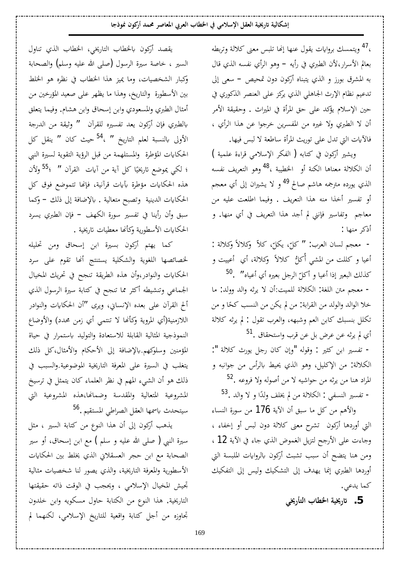،<sup>[47](#page-13-44)</sup> ويتمسك بروايات يقول عنها إنحا تلبس معنى كلالة وتربطه بعالم الأسرار،لأن الطبري في رأيه – وهو الرأي نفسه الذي قال به المشرق بورز و الذي يتبناه أركون دون تمحيص – سعى إلى تدعيم نظام الإرث الجاهلي الذي يركز على العنصر الذكوري في حين الإسلام يؤكد على حق المرأة في الميراث . وحقيقة الأمر أن لا الطبري ولا غيره من المفسرين خرجوا عن هذا الرأي ، فالآيات التي تدل على توريث المرأة ساطعة لا لبس فيها.

ويشير أركون في كتابه ( الفكر الإسلامي قراءة علمية ) أن الكلالة معناها الكنة أو الخطيبة ،<sup>[48](#page-13-45)</sup> وهو التعريف نفسه الذي يورده مترجمه هاشم صالح <sup>[49](#page-13-46)</sup> و لا يشيران إلى أي معجم أو تفسير أخذا منه هذا التعريف . وفيما اطلعت عليه من معاجم وتفاسير فإننى لم أجد هذا التعريف في أي منها. و أذكر منها :

- معجم لسان العرب: " كلّ، يكلّ، كلاّ وكلالاً وكلالة :<br>. أعيا و كللت من المشي أكلُّ كلالاً وكلالة، أي أعييت و كذلك البعير إذا أعيا و أكلّ الرجل بعيره أي أعياه" .<sup>[50](#page-13-47)</sup>

- معجم متن اللغة: الكلالة للميت:أن لا يرثه والد وولد: ما خلا الوالد والولد من القرابة: من لم يكن من النسب كحًا و من تكلل بنسبك كابن العم وشبهه، والعرب تقول : لم يرثه كلالة [51](#page-13-48) م يرثه عن عرض بل عن قرب واستحقاق $^{\textstyle 51}$ .

- تفسير ابن كثير : وقوله "وإن كان رجل يورث كلالة ": الكلالة: من الإكليل، وهو الذي يحيط بالرأس من جوانبه و . المراد هنا من يرثه من حواشيه لا من أصوله ولا فروعه – تفسير النسفي : الكلالة من لم يخلف ولدًا و لا والد .<sup>[53](#page-14-0)</sup>

والأهم من كل ما سبق أن الآية 176 من سورة النساء التي أوردها أركون تشرح معنى كلالة دون لبس أو إخفاء ، وجاءت على الأرجح لتزيل الغموض الذي جاء في الآية 12 ، ومن هنا يتضح أن سبب تشبث أركون بالروايات الملبسة التي أوردها الطبري إنما يهدف إلى التشكيك وليس إلى التفكيك كما يدعى.

5. تاريخية الخطاب التأريخي

يقصد أركون بالخطاب التاريخي، الخطاب الذي تناول السير ، خاصة سيرة الرسول (صلى الله عليه وسلم) والصحابة وكبار الشخصيات، وما يميز هذا الخطاب في نظره هو الخلط بين الأسطورة والتاريخ، وهذا ما يظهر على صعيد المؤرخين من أمثال الطبري والمسعودي وابن إسحاق وابن هشام. وفيما يتعلق بالطبري فإن أركون يعد تفسيره للقرآن " وثيقة من الدرجة الأولى بالنسبة لعلم التاريخ " ،<sup>[54](#page-14-1)</sup> حيث كان " ينقل كل الحكايات المؤطرة والمستلهمة من قبل الرؤية التقوية لسيرة النبي ؛ لكي يموضع تاريخيًا كل آية من آيات القرآن ″ ؛<sup>[55](#page-14-2)</sup> ولأن Å هذه الحكايات مؤطرة بآيات قرآنية، فإنها تتموضع فوق كل الحكايات الدينية وتصبح متعالية . بالإضافة إلى ذلك – وكما سبق وأن رأينا في تفسير سورة الكهف – فإن الطبري يسرد الحكايات الأسطورية وكأنها معطيات تاريخية .

كما يهتم أركون بسيرة ابن إسحاق ومن تحليله لخصائصها اللغوية والشكلية يستنتج أنها تقوم على سرد الحكايات والنوادر،وأن هذه الطريقة تنجح في تحريك المخيال الجماعي وتنشيطه أكثر مما تنجح في كتابة سيرة الرسول الذي ألح القرآن على بعده الإنساني، ويرى "أن الحكايات والنوادر اللازمنية(أي المروية وكأنها لا تنتمي أي زمن محدد) والأوضاع النموذجية المثالية القابلة للاستعادة والتوليد باستمرار في حياة المؤمنين وسلوكهم.بالإضافة إلى الأحكام والأمثال،كل ذلك يتغلب في السيرة على المعرفة التاريخية الموضوعية.والسبب في ذلك هو أن الشيء المهم في نظر العلماء كان يتمثل في ترسيخ المشروعية المتعالية والمقدسة وضمانها،هذه المشروعية التي سيتحدث باسمها العقل الصراطي المستقيم .<sup>[56](#page-14-3)</sup>

يذهب أركون إلى أن هذا النوع من كتابة السير ، مثل سيرة النبي ( صلى الله عليه و سلم ) مع ابن إسحاق، أو سير الصحابة مع ابن حجر العسقلاني الذي يخلط بين الحكايات الأسطورية والمعرفة التاريخية، والذي يصور لنا شخصيات مثالية تجيش المخيال الإسلامي ، ويحجب في الوقت ذاته حقيقتها التاريخية. هذا النوع من الكتابة حاول مسكويه وابن خلدون تحاوزه من أجل كتابة واقعية للتاريخ الإسلامي، لكنهما لم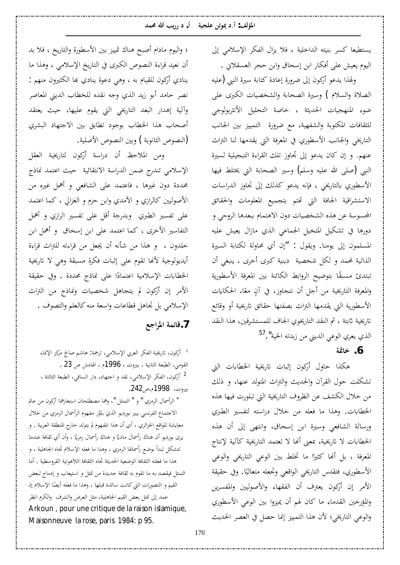<span id="page-12-4"></span><span id="page-12-3"></span>یستطیعا کسر بنیته الداخلیة ، فلا یزال الفکر الإسلامی إلی اليوم يعيش على أفكار ابن إسحاق وابن حجر العسقلاني . ولهذا يدعو أركون إلى ضرورة إعادة كتابة سيرة النبي (عليه الصلاة والسلام ) وسيرة الصحابة والشخصيات الكبرى على ضوء المنهجيات الحديثة ، خاصة التحليل الأنثربولوجي للثقافات المكتوبة والشفهية، مع ضرورة التمييز بين الجانب التاريخي والجانب الأسطوري في المعرفة التي يقدمها لنا التراث عنهم. و إن كان يدعو إلى تجاوز تلك القراءة التبجيلية لسيرة النبي (صلى الله عليه وسلم) وسير الصحابة التي يختلط فيها الأسطوري بالتاريخي ، فإنه يدعو كذلك إلى تجاوز الدراسات الاستشراقية الجافة التي تهتم بتجميع المعلومات والحقائق المحسوسة عن هذه الشخصيات دون الاهتمام ببعدها الروحي و دورها في تشكيل المتخيل الجماعي الذي مازال يعيش عليه المسلمون إلى يومنا. ويقول : "إن أي محاولة لكتابة السيرة الذاتية لمحمد و لكل شخصية دينية كبرى أخرى ، ينبغي أن نبتدئ مسبقًا بتوضيح الروابط الكائنة بين المعرفة الأسطورية والمعرفة التاريخية من أجل أن نتجاوز، في آنٍ معًا، الحكايات Å الأسطورية التي يقدمها التراث بصفتها حقائق تاريخية أو وقائع تاريخية ثابتة ، ثم النقد التاريخوي الجاف للمستشرقين، هذا النقد الذي يعري الوعي الديني من زبدته الحية".<sup>[57](#page-14-4)</sup>

## **6. خاتمة**

<span id="page-12-2"></span><span id="page-12-1"></span><span id="page-12-0"></span>هكذا حاول أركون إثبات تاريخية الخطابات التي تشكلت حول القرآن والحديث والتراث المتولد عنها، و ذلك من خلال الكشف عن الظروف التاريخية التي تبلورت فيها هذه الخطابات. وهذا ما فعله من خلال دراسته لتفسير الطبري ورسالة الشافعي وسيرة ابن إسحاق، وانتهى إلى أن هذه الخطابات لا تاريخية، بمعنى أنّها لا تعتمد التاريخية كآلية لإنتاج المعرفة ، بل أنّها كثيرًا ما تخلط بين الوعي التاريخي والوعي Å الأسطوري، فتقدس التاريخي الواقعي وتجعله متعاليًا. وفي حقيقة .<br>. الأمر إن أركون يعترف أن الفقهاء والأصوليين والمفسرين والمؤرخين القدماء ما كان لهم أن يميزوا بين الوعي الأسطوري والوعي التاريخي؛ لأن هذا التمييز إنما حصل في العصر الحديث

؛ واليوم مادام أصبح هناك تمييز بين الأسطورة والتاريخ ، فلا بد أن نعيد قراءة النصوص الكبرى في التاريخ الإسلامي ، وهذا ما ينادي أركون للقيام به ، وهي دعوة ينادي بما الكثيرون منهم : نصر حامد أبو زيد الذي وجه نقده للخطاب الديني المعاصر وآلية إهدار البعد التاريخي التي يقوم عليها، حيث يعتقد أصحاب هذا الخطاب بوجود تطابق بين الاجتهاد البشري النصوص الثانوية ) وبين النصوص الأصلية.

ومن الملاحظ أن دراسة أركون لتاريخية العقل الإسلامي تندرج ضمن الدراسة الانتقائية حيث اعتمد نماذج محددة دون غيرها ، فاعتمد على الشافعي و أهمل غيره من الأصوليين كالرازي و الآمدي وابن حزم و الغزالي ، كما اعتمد على تفسير الطبري وبدرجة أقل على تفسير الرازي و أهمل التفاسير الأخرى ، كما اعتمد على ابن إسحاق و أهمل ابن خلدون ، و هذا من شأنه أن يجعل من قراءته للتراث قراءة أيديولوجية لأنها تقوم على إثبات فكرة مسبقة وهي لا تاريخية الخطابات الإسلامية اعتمادًا على نماذج محددة . وفي حقيقة الأمر إن أركون لم يتجاهل شخصيات ونماذج من التراث الإسلامي بل تجاهل قطاعات واسعة منه كالعلم والتصوف .

**ǞƳ¦ǂŭ¦ƨǸƟƢǫ.7**

ا أركون، تاريخية الفكر العربي الإسلامي، ترجمة: هاشم صالح مركز الإنماء . 23´ الطبعة الثانية ، بيروت ، 1996م ، الهامش ص <sup>2</sup> أركون، الفكر الإسلامي، نقد و اجتهاد، دار الساقي، الطبعة الثالثة ، بيروت، 1998م،ص242.

 ŃƢǟǺǷÀȂǯ°¢Ƣŷ°ƢǠƬLJ¦ÀƢƸǴǘǐǷƢŷÂ" DzưǸƬdz¦ " Â " ÄDŽǷǂdz¦¾Ƣũ¢ǂdz¦ الاجتماع الفرنسي بيير بورديو الذي بلوَّر مفهوم الرأسمال الرمزي من خلال معايشة للواقع الجزائري ، أي أن هذا المفهوم لم يتولد خارج المنطقة العربية . و يرى بورديو أن هناك رأسمال رمزيًا ، وأن أي ثقافة عندما Å Å تتشكل تبدأ بوضع رأسمالها الرمزي ، وهذا ما فعله الإسلام تجاه الجاهلية ، و هذا ما فعلته الثقافة الوضعية الحديثة تجاه الثقافة اللاهوتية القروسطية . أما التمثل فيقصد به ما تقوم به ثقافة جديدة من تمثل و استيعاب و إدماج لبعض القيم و التصورات التي كانت سائدة قبلها ، وهذا ما فعله أيضًا الإسلام إذ عمد إلى تمثل بعض القيم الجاهلية، مثل العرض والشرف والكرم انظر Arkoun , pour une critique de la raison islamique, Maisonneuve la rose, paris 1984: p 95.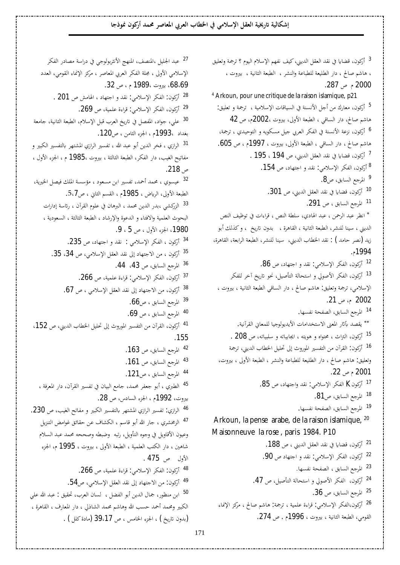إشكالية تاريخية العقل الإسلامي في الخطاب العربي المعاصر محمد أركون نموذجا

<span id="page-13-49"></span><span id="page-13-48"></span><span id="page-13-35"></span><span id="page-13-34"></span><span id="page-13-32"></span><span id="page-13-31"></span><span id="page-13-30"></span><span id="page-13-29"></span><span id="page-13-28"></span><span id="page-13-27"></span><span id="page-13-26"></span><span id="page-13-25"></span><span id="page-13-10"></span><span id="page-13-9"></span><span id="page-13-8"></span><span id="page-13-7"></span><span id="page-13-6"></span><span id="page-13-5"></span><span id="page-13-4"></span><span id="page-13-3"></span><span id="page-13-2"></span><span id="page-13-1"></span><span id="page-13-0"></span><sup>3</sup> أركون، قضايا في نقد العقل الديني، كيف نفهم الإسلام اليوم ؟ ترجمة وتعليق ، هاشم صالح ، دار الطليعة للطباعة والنشر ، الطبعة الثانية ، بيروت ، .287 $, \sim 2000$ 4 Arkoun, pour une critique de la raison islamique, p21 5 أركون، معارك من أجل الأنسنة في السياقات الإسلامية ، ترجمة و تعليق: هاشم صالح، دار الساقى ، الطبعة الأولى، بيروت ،2002م، ص 42 <sup>6</sup> أركون، نزعة الأنسنة في الفكر العربي جيل مسكويه و التوحيدي ، ترجمة، هاشم صالح ، دار الساقي ، الطبعة الأولي، بيروت ، 1997م ، ص 605. <sup>7</sup> أَرَكُونَ، قضايا في نقد العقل الديني، ص 194 ، 195 . <sup>8</sup> أركون، الفكر الإسلامي: نقد و اجتهاد، ص 154. <sup>9</sup> المرجع السابق، ص8. 10 أركون، قضايا في نقد العقل الديني، ص 301. <sup>11</sup> المرجع السابق ، ص **291**. \* انظر عبد الرحمن ، عبد الهادي، سلطة النص ، قراءات في توظيف النص الديني ، سينا للنشر، الطبعة الثانية ، القاهرة ، بدون تاريخ ، و كذلك أبو زيد (نصر حامد ) : نقد الخطاب الديني، سينا للنشر، الطبعة الرابعة، القاهرة، .¿1994 <sup>12</sup> أركون، الفكر الإسلامي: نقد و اجتهاد، ص 8**6**. <sup>13</sup> أَرَكُونَ، الفكر الأصولي و استحالة التأصيل، نحو تاريخ آخر للفكر الإسلامي، ترجمة وتعليق: هاشم صالح ، دار الساقي الطبعة الثانية ، بيروت ، 2002 م، ص 21. <sup>14</sup> المرجع السابق، الصفحة نفسها. .ƨȈǻ¡ǂǬdz¦ňƢǠǸǴdzƢȈƳȂdzȂȇƾȇȋ¦©ƢǷ¦ƾƼƬLJȏ¦ŘǠŭ¦°ʬϕƾǐǬȇ <sup>15</sup> أركون، التراث ، محتواه و هويته ، ايجابياته و سلبياته، ص **208** . <sup>16</sup> أركون: القرآن من التفسير الموروث إلى تحليل الخطاب الديني، ترجمة وتعليق: هاشم صالح ، دار الطليعة للطباعة والنشر ، الطبعة الأولى ، بيروت، .22´¿ 2001 17 أركونK الفكر الإسلامي: نقد واجتهاد، ص 85. <sup>18</sup> المرجع السابق، ص8**1.** <sup>19</sup> المرجع السابق، الصفحة نفسها. Arkoun, la pense arabe, de la raison islamique,  $20$ Maisonneuve la rose , paris 1984. P10 <sup>21</sup> أركون، قضايا في نقد العقل الديني ، ص 188. <sup>22</sup> أركون، الفكر الإسلامي: نقد و اجتهاد ص 90. <sup>23</sup> المرجع السابق ، الصفحة نفسها. <sup>24</sup> أركون، الفكر الأصولي و استحالة التأصيل، ص **47**. <sup>25</sup> المرجع السابق، ص 36. <sup>26</sup> أركون،الفكر الإسلامي: قراءة علمية ، ترجمة: هاشم صالح ، مركز الإنماء القومي، الطبعة الثانية ، بيروت ، 1996م . ص 274.

<span id="page-13-36"></span><span id="page-13-33"></span><sup>27</sup> عبد الجليل ،المنصف، المنهج الأنثربولوجي في دراسة مصادر الفكر الإسلامي الأولى ، مجلة الفكر العربي المعاصر ، مركز الإنماء القومي، العدد 68،69)، بيروت ،1989 م ، ص 32. <sup>28</sup> أركون: الفكر الإسلامي: نقد و اجتهاد ، الهامش ص **201** . <sup>29</sup> أركون، الفكر الإسلامي: قراءة علمية، ص **269.** 30 على، جواد، المفصل في تاريخ العرب قبل الإسلام، الطبعة الثانية، جامعة بغداد ،1993م ، الجزء الثامن ، ص120. <sup>31</sup> الرازي ، فخر الدين أبو عبد الله ، تفسير الرازي المشتهر بالتفسير الكبير و مفاتيح الغيب، دار الفكر، الطبعة الثالثة ، بيروت ،1985 م ، الجزء الأول ، .218´ <sup>32</sup> عيسوي ، محمد أحمد، تفسير ابن مسعود ، مؤسسة الملك فيصل الخيرية، الطبعة الأولى، الرياض ، 1985م ، القسم الثاني ، ص5.7. <sup>33</sup> الزركشي ،بدر الدين محمد ، البرهان في علوم القرآن ، رئاسة إدارات البحوث العلمية والافتاء و الدعوة والإرشاد ، الطبعة الثالثة ، السعودية ، .9 1980 الجزء الأول ، ص 5 ، 9. <sup>34</sup> أركون ، الفكر الإسلامي : نقد و اجتهاد، ص 235. <sup>35</sup> أركون ، من الاجتهاد إلى نقد العقل الإسلامي، ص 34، 35. <sup>36</sup> المرجع السابق، ص 43، 44. <sup>37</sup> أركون، الفكر الإسلامي: قراءة علمية، ص **266.** أركون، من الاجتهاد إلى نقد العقل الإسلامي ، ص 67.  $^{\rm 38}$ <sup>39</sup> المرجع السابق ، ص66. <sup>40</sup> المرجع السابق ، ص 69. <sup>41</sup> أركون، القرآن من التفسير الموروث إلى تحليل الخطاب الديني، ص 152. .155 <sup>42</sup> المرجع السابق، ص 163. <sup>43</sup> المرجع السابق، ص **161**. <sup>44</sup> المرجع السابق ، ص121. <sup>45</sup> الطبري ، أبو جعفر محمد، جامع البيان في تفسير القرآن، دار المعرفة ، بيروت، 1992م ، الجزء السادس، ص 28. <sup>46</sup> الرازي: تفسير الرازي المشتهر بالتفسير الكبير و مفاتح الغيب، ص **230**. <sup>47</sup> الزمخشري ، جار الله أبو قاسم ، الكشاف عن حقائق غوامض التنزيل وعيون الأقاويل في وجوه التأويل، رتبه وضبطه وصححه محمد عبد السلام شاهين ، دار الكتب العلمية ، الطبعة الأولى ، بيروت ، 1995 م، الجزء الأول ص **475 .** <sup>48</sup> أركون: الفكر الإسلامي: قراءة علمية، ص **266.** <sup>49</sup> أركون: من الاجتهاد إلى نقد العقل الإسلامي، ص54. <sup>50</sup> ابن منظور، جمال الدين أبو الفضل ، لسان العرب، تحقيق : عبد الله علي الكبير ومحمد أحمد حسب الله وهاشم محمد الشاذلي ، دار المعارف ، القاهرة ، (بدون تاريخ) ، الجزء الخامس ، ص 39،17 (مادة كلل) .

<span id="page-13-47"></span><span id="page-13-46"></span><span id="page-13-45"></span><span id="page-13-44"></span><span id="page-13-43"></span><span id="page-13-42"></span><span id="page-13-41"></span><span id="page-13-40"></span><span id="page-13-39"></span><span id="page-13-38"></span><span id="page-13-37"></span><span id="page-13-24"></span><span id="page-13-23"></span><span id="page-13-22"></span><span id="page-13-21"></span><span id="page-13-20"></span><span id="page-13-19"></span><span id="page-13-18"></span><span id="page-13-17"></span><span id="page-13-16"></span><span id="page-13-15"></span><span id="page-13-14"></span><span id="page-13-13"></span><span id="page-13-12"></span><span id="page-13-11"></span>171